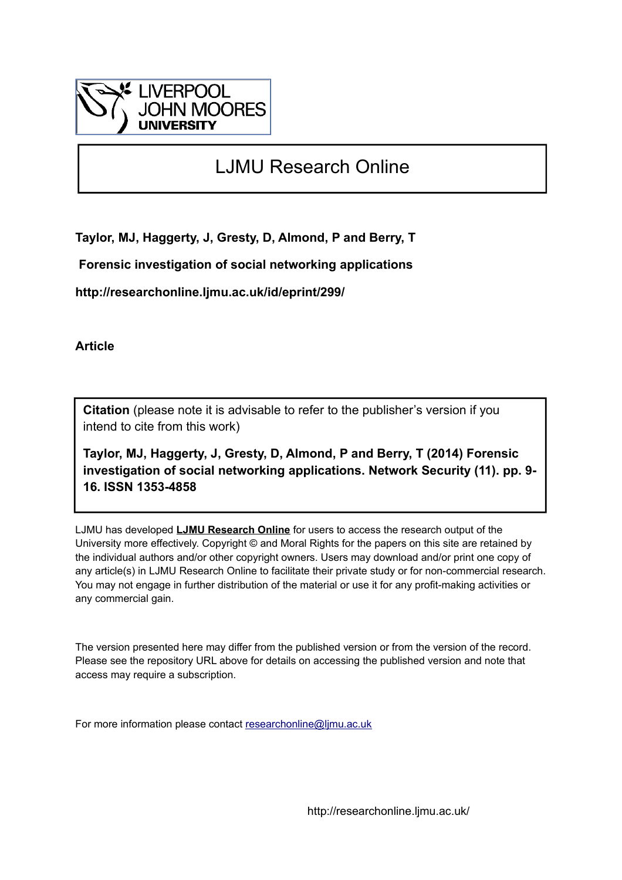

# LJMU Research Online

**Taylor, MJ, Haggerty, J, Gresty, D, Almond, P and Berry, T**

 **Forensic investigation of social networking applications**

**http://researchonline.ljmu.ac.uk/id/eprint/299/**

**Article**

**Citation** (please note it is advisable to refer to the publisher's version if you intend to cite from this work)

**Taylor, MJ, Haggerty, J, Gresty, D, Almond, P and Berry, T (2014) Forensic investigation of social networking applications. Network Security (11). pp. 9- 16. ISSN 1353-4858** 

LJMU has developed **[LJMU Research Online](http://researchonline.ljmu.ac.uk/)** for users to access the research output of the University more effectively. Copyright © and Moral Rights for the papers on this site are retained by the individual authors and/or other copyright owners. Users may download and/or print one copy of any article(s) in LJMU Research Online to facilitate their private study or for non-commercial research. You may not engage in further distribution of the material or use it for any profit-making activities or any commercial gain.

The version presented here may differ from the published version or from the version of the record. Please see the repository URL above for details on accessing the published version and note that access may require a subscription.

For more information please contact [researchonline@ljmu.ac.uk](mailto:researchonline@ljmu.ac.uk)

http://researchonline.ljmu.ac.uk/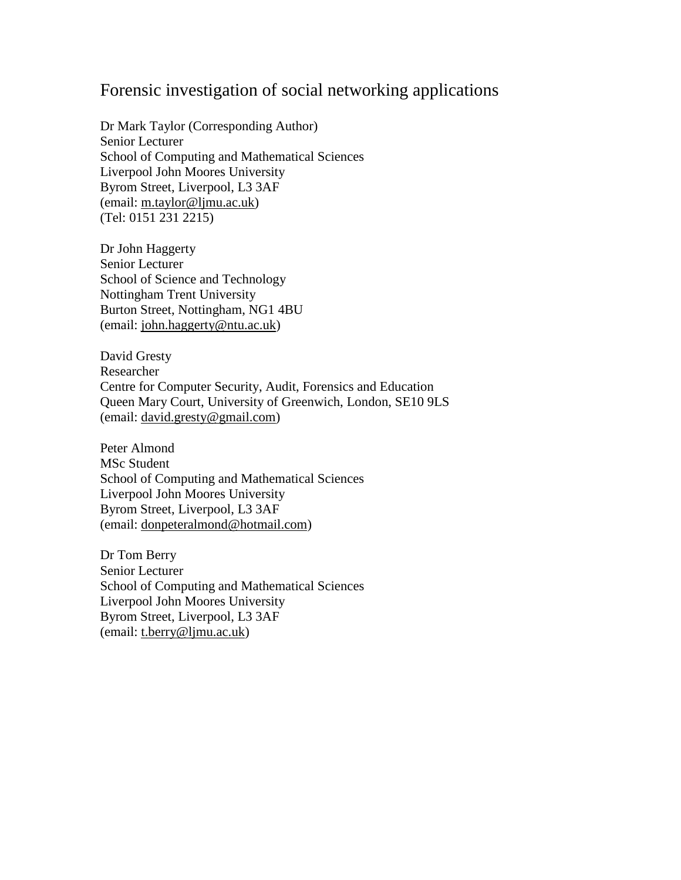# Forensic investigation of social networking applications

Dr Mark Taylor (Corresponding Author) Senior Lecturer School of Computing and Mathematical Sciences Liverpool John Moores University Byrom Street, Liverpool, L3 3AF (email: [m.taylor@ljmu.ac.uk\)](mailto:m.taylor@ljmu.ac.uk) (Tel: 0151 231 2215)

Dr John Haggerty Senior Lecturer School of Science and Technology Nottingham Trent University Burton Street, Nottingham, NG1 4BU (email: [john.haggerty@ntu.ac.uk\)](mailto:john.haggerty@ntu.ac.uk)

David Gresty Researcher Centre for Computer Security, Audit, Forensics and Education Queen Mary Court, University of Greenwich, London, SE10 9LS (email: [david.gresty@gmail.com\)](mailto:david.gresty@gmail.com)

Peter Almond MSc Student School of Computing and Mathematical Sciences Liverpool John Moores University Byrom Street, Liverpool, L3 3AF (email: [donpeteralmond@hotmail.com\)](mailto:donpeteralmond@hotmail.com)

Dr Tom Berry Senior Lecturer School of Computing and Mathematical Sciences Liverpool John Moores University Byrom Street, Liverpool, L3 3AF (email: [t.berry@ljmu.ac.uk\)](mailto:t.berry@ljmu.ac.uk)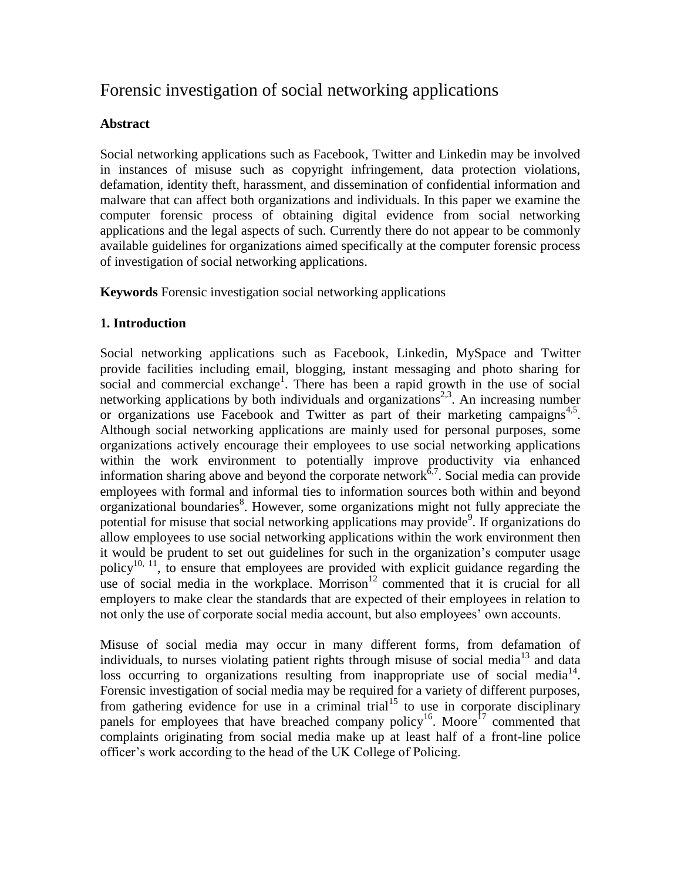# Forensic investigation of social networking applications

# **Abstract**

Social networking applications such as Facebook, Twitter and Linkedin may be involved in instances of misuse such as copyright infringement, data protection violations, defamation, identity theft, harassment, and dissemination of confidential information and malware that can affect both organizations and individuals. In this paper we examine the computer forensic process of obtaining digital evidence from social networking applications and the legal aspects of such. Currently there do not appear to be commonly available guidelines for organizations aimed specifically at the computer forensic process of investigation of social networking applications.

**Keywords** Forensic investigation social networking applications

# **1. Introduction**

Social networking applications such as Facebook, Linkedin, MySpace and Twitter provide facilities including email, blogging, instant messaging and photo sharing for social and commercial exchange<sup>1</sup>. There has been a rapid growth in the use of social networking applications by both individuals and organizations<sup>2,3</sup>. An increasing number or organizations use Facebook and Twitter as part of their marketing campaigns<sup>4,5</sup>. Although social networking applications are mainly used for personal purposes, some organizations actively encourage their employees to use social networking applications within the work environment to potentially improve productivity via enhanced information sharing above and beyond the corporate network $\delta$ <sup>5,7</sup>. Social media can provide employees with formal and informal ties to information sources both within and beyond  $organizational boundaries<sup>8</sup>$ . However, some organizations might not fully appreciate the potential for misuse that social networking applications may provide<sup>9</sup>. If organizations do allow employees to use social networking applications within the work environment then it would be prudent to set out guidelines for such in the organization's computer usage policy<sup>10, 11</sup>, to ensure that employees are provided with explicit guidance regarding the use of social media in the workplace. Morrison<sup>12</sup> commented that it is crucial for all employers to make clear the standards that are expected of their employees in relation to not only the use of corporate social media account, but also employees' own accounts.

Misuse of social media may occur in many different forms, from defamation of individuals, to nurses violating patient rights through misuse of social media<sup>13</sup> and data loss occurring to organizations resulting from inappropriate use of social media $14$ . Forensic investigation of social media may be required for a variety of different purposes, from gathering evidence for use in a criminal trial<sup>15</sup> to use in corporate disciplinary panels for employees that have breached company policy<sup>16</sup>. Moore<sup>17</sup> commented that complaints originating from social media make up at least half of a front-line police officer's work according to the head of the UK College of Policing.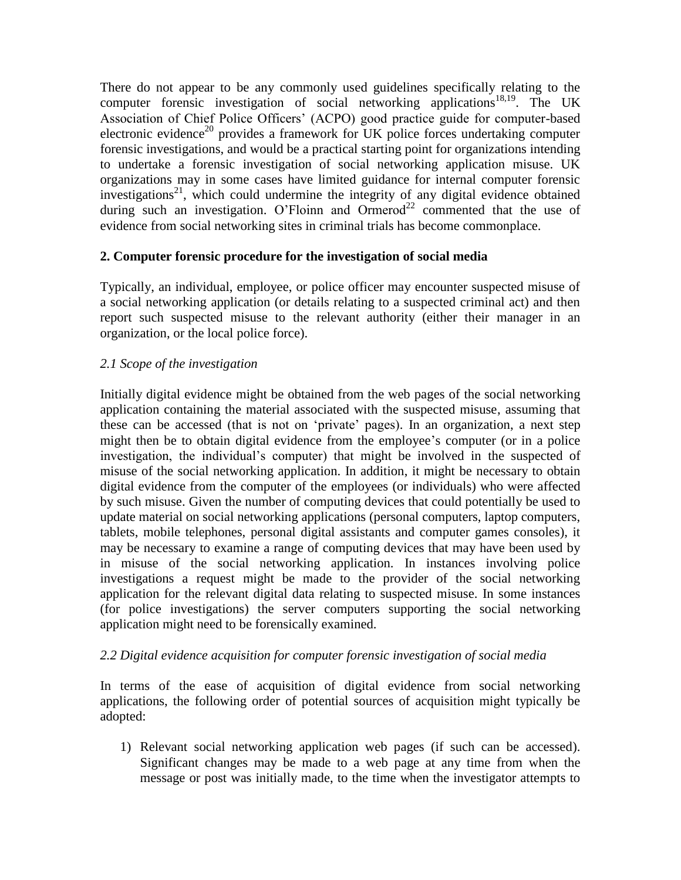There do not appear to be any commonly used guidelines specifically relating to the computer forensic investigation of social networking applications<sup>18,19</sup>. The UK Association of Chief Police Officers' (ACPO) good practice guide for computer-based electronic evidence<sup>20</sup> provides a framework for UK police forces undertaking computer forensic investigations, and would be a practical starting point for organizations intending to undertake a forensic investigation of social networking application misuse. UK organizations may in some cases have limited guidance for internal computer forensic investigations<sup>21</sup>, which could undermine the integrity of any digital evidence obtained during such an investigation. O'Floinn and Ormerod<sup>22</sup> commented that the use of evidence from social networking sites in criminal trials has become commonplace.

# **2. Computer forensic procedure for the investigation of social media**

Typically, an individual, employee, or police officer may encounter suspected misuse of a social networking application (or details relating to a suspected criminal act) and then report such suspected misuse to the relevant authority (either their manager in an organization, or the local police force).

# *2.1 Scope of the investigation*

Initially digital evidence might be obtained from the web pages of the social networking application containing the material associated with the suspected misuse, assuming that these can be accessed (that is not on 'private' pages). In an organization, a next step might then be to obtain digital evidence from the employee's computer (or in a police investigation, the individual's computer) that might be involved in the suspected of misuse of the social networking application. In addition, it might be necessary to obtain digital evidence from the computer of the employees (or individuals) who were affected by such misuse. Given the number of computing devices that could potentially be used to update material on social networking applications (personal computers, laptop computers, tablets, mobile telephones, personal digital assistants and computer games consoles), it may be necessary to examine a range of computing devices that may have been used by in misuse of the social networking application. In instances involving police investigations a request might be made to the provider of the social networking application for the relevant digital data relating to suspected misuse. In some instances (for police investigations) the server computers supporting the social networking application might need to be forensically examined.

# *2.2 Digital evidence acquisition for computer forensic investigation of social media*

In terms of the ease of acquisition of digital evidence from social networking applications, the following order of potential sources of acquisition might typically be adopted:

1) Relevant social networking application web pages (if such can be accessed). Significant changes may be made to a web page at any time from when the message or post was initially made, to the time when the investigator attempts to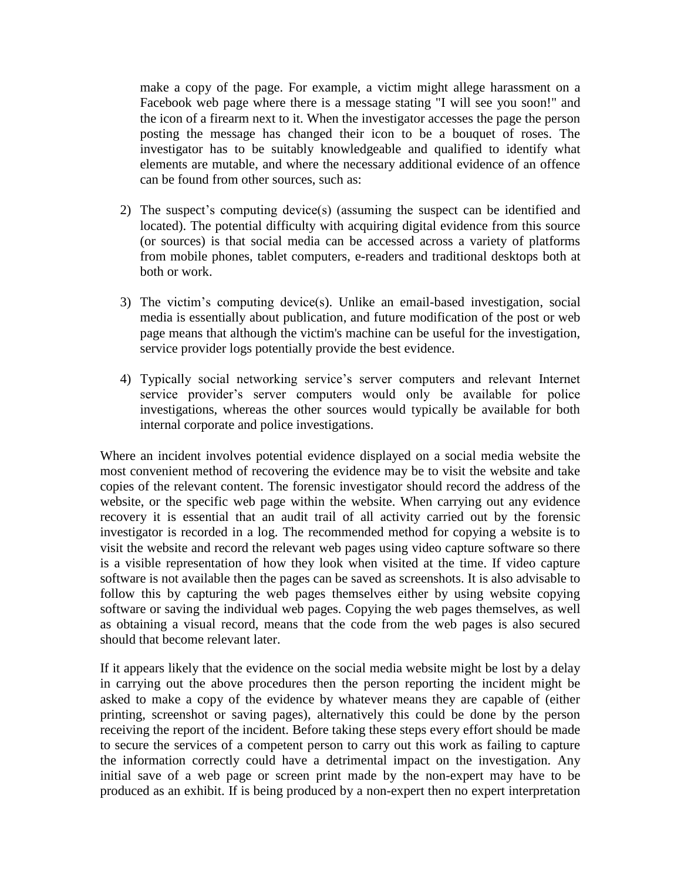make a copy of the page. For example, a victim might allege harassment on a Facebook web page where there is a message stating "I will see you soon!" and the icon of a firearm next to it. When the investigator accesses the page the person posting the message has changed their icon to be a bouquet of roses. The investigator has to be suitably knowledgeable and qualified to identify what elements are mutable, and where the necessary additional evidence of an offence can be found from other sources, such as:

- 2) The suspect's computing device(s) (assuming the suspect can be identified and located). The potential difficulty with acquiring digital evidence from this source (or sources) is that social media can be accessed across a variety of platforms from mobile phones, tablet computers, e-readers and traditional desktops both at both or work.
- 3) The victim's computing device(s). Unlike an email-based investigation, social media is essentially about publication, and future modification of the post or web page means that although the victim's machine can be useful for the investigation, service provider logs potentially provide the best evidence.
- 4) Typically social networking service's server computers and relevant Internet service provider's server computers would only be available for police investigations, whereas the other sources would typically be available for both internal corporate and police investigations.

Where an incident involves potential evidence displayed on a social media website the most convenient method of recovering the evidence may be to visit the website and take copies of the relevant content. The forensic investigator should record the address of the website, or the specific web page within the website. When carrying out any evidence recovery it is essential that an audit trail of all activity carried out by the forensic investigator is recorded in a log. The recommended method for copying a website is to visit the website and record the relevant web pages using video capture software so there is a visible representation of how they look when visited at the time. If video capture software is not available then the pages can be saved as screenshots. It is also advisable to follow this by capturing the web pages themselves either by using website copying software or saving the individual web pages. Copying the web pages themselves, as well as obtaining a visual record, means that the code from the web pages is also secured should that become relevant later.

If it appears likely that the evidence on the social media website might be lost by a delay in carrying out the above procedures then the person reporting the incident might be asked to make a copy of the evidence by whatever means they are capable of (either printing, screenshot or saving pages), alternatively this could be done by the person receiving the report of the incident. Before taking these steps every effort should be made to secure the services of a competent person to carry out this work as failing to capture the information correctly could have a detrimental impact on the investigation. Any initial save of a web page or screen print made by the non-expert may have to be produced as an exhibit. If is being produced by a non-expert then no expert interpretation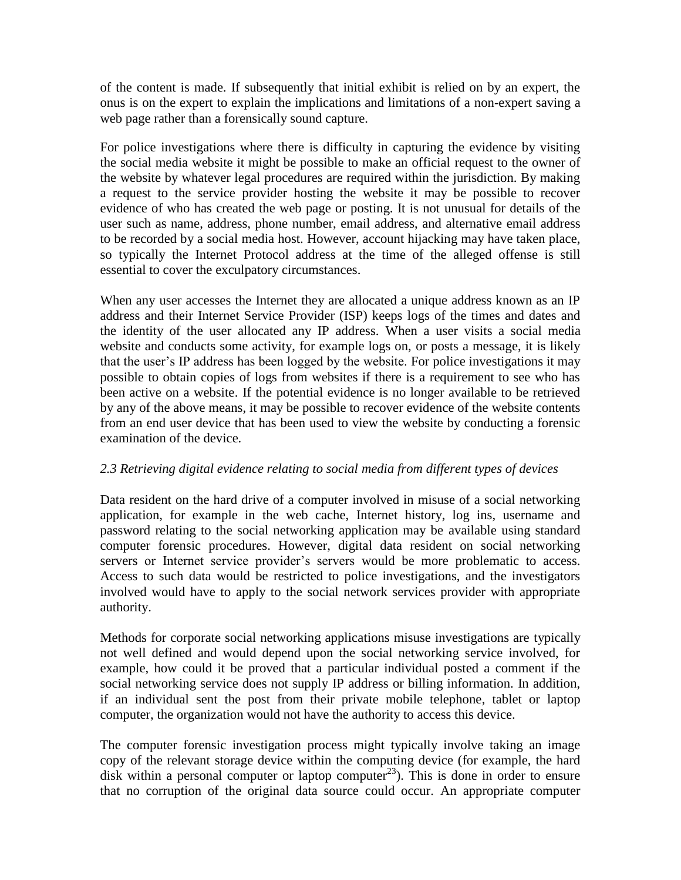of the content is made. If subsequently that initial exhibit is relied on by an expert, the onus is on the expert to explain the implications and limitations of a non-expert saving a web page rather than a forensically sound capture.

For police investigations where there is difficulty in capturing the evidence by visiting the social media website it might be possible to make an official request to the owner of the website by whatever legal procedures are required within the jurisdiction. By making a request to the service provider hosting the website it may be possible to recover evidence of who has created the web page or posting. It is not unusual for details of the user such as name, address, phone number, email address, and alternative email address to be recorded by a social media host. However, account hijacking may have taken place, so typically the Internet Protocol address at the time of the alleged offense is still essential to cover the exculpatory circumstances.

When any user accesses the Internet they are allocated a unique address known as an IP address and their Internet Service Provider (ISP) keeps logs of the times and dates and the identity of the user allocated any IP address. When a user visits a social media website and conducts some activity, for example logs on, or posts a message, it is likely that the user's IP address has been logged by the website. For police investigations it may possible to obtain copies of logs from websites if there is a requirement to see who has been active on a website. If the potential evidence is no longer available to be retrieved by any of the above means, it may be possible to recover evidence of the website contents from an end user device that has been used to view the website by conducting a forensic examination of the device.

# *2.3 Retrieving digital evidence relating to social media from different types of devices*

Data resident on the hard drive of a computer involved in misuse of a social networking application, for example in the web cache, Internet history, log ins, username and password relating to the social networking application may be available using standard computer forensic procedures. However, digital data resident on social networking servers or Internet service provider's servers would be more problematic to access. Access to such data would be restricted to police investigations, and the investigators involved would have to apply to the social network services provider with appropriate authority.

Methods for corporate social networking applications misuse investigations are typically not well defined and would depend upon the social networking service involved, for example, how could it be proved that a particular individual posted a comment if the social networking service does not supply IP address or billing information. In addition, if an individual sent the post from their private mobile telephone, tablet or laptop computer, the organization would not have the authority to access this device.

The computer forensic investigation process might typically involve taking an image copy of the relevant storage device within the computing device (for example, the hard disk within a personal computer or laptop computer<sup>23</sup>). This is done in order to ensure that no corruption of the original data source could occur. An appropriate computer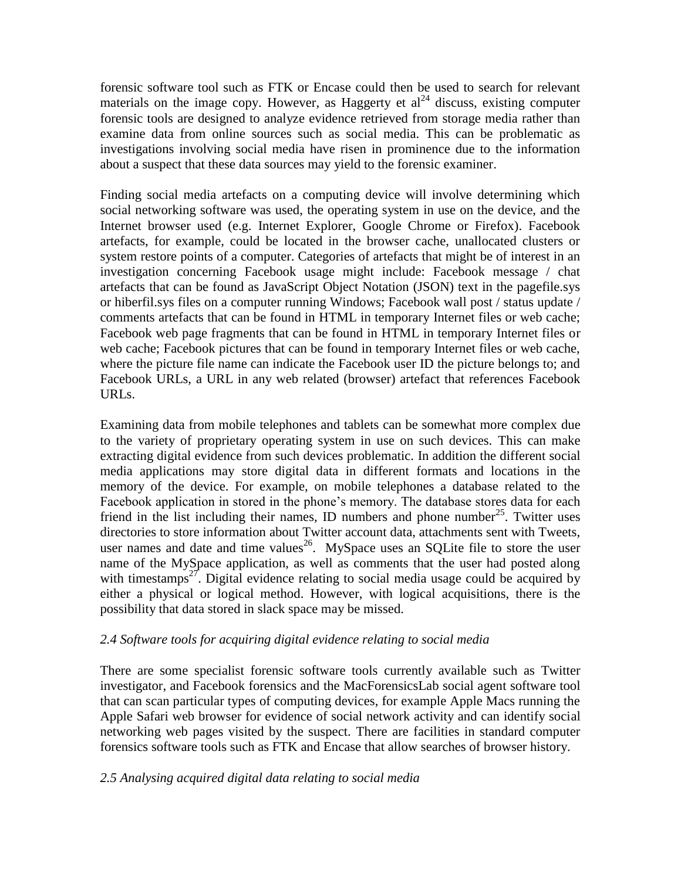forensic software tool such as FTK or Encase could then be used to search for relevant materials on the image copy. However, as Haggerty et  $al<sup>24</sup>$  discuss, existing computer forensic tools are designed to analyze evidence retrieved from storage media rather than examine data from online sources such as social media. This can be problematic as investigations involving social media have risen in prominence due to the information about a suspect that these data sources may yield to the forensic examiner.

Finding social media artefacts on a computing device will involve determining which social networking software was used, the operating system in use on the device, and the Internet browser used (e.g. Internet Explorer, Google Chrome or Firefox). Facebook artefacts, for example, could be located in the browser cache, unallocated clusters or system restore points of a computer. Categories of artefacts that might be of interest in an investigation concerning Facebook usage might include: Facebook message / chat artefacts that can be found as JavaScript Object Notation (JSON) text in the pagefile.sys or hiberfil.sys files on a computer running Windows; Facebook wall post / status update / comments artefacts that can be found in HTML in temporary Internet files or web cache; Facebook web page fragments that can be found in HTML in temporary Internet files or web cache; Facebook pictures that can be found in temporary Internet files or web cache, where the picture file name can indicate the Facebook user ID the picture belongs to; and Facebook URLs, a URL in any web related (browser) artefact that references Facebook URLs.

Examining data from mobile telephones and tablets can be somewhat more complex due to the variety of proprietary operating system in use on such devices. This can make extracting digital evidence from such devices problematic. In addition the different social media applications may store digital data in different formats and locations in the memory of the device. For example, on mobile telephones a database related to the Facebook application in stored in the phone's memory. The database stores data for each friend in the list including their names, ID numbers and phone number<sup>25</sup>. Twitter uses directories to store information about Twitter account data, attachments sent with Tweets, user names and date and time values<sup>26</sup>. MySpace uses an SQLite file to store the user name of the MySpace application, as well as comments that the user had posted along with timestamps<sup>27</sup>. Digital evidence relating to social media usage could be acquired by either a physical or logical method. However, with logical acquisitions, there is the possibility that data stored in slack space may be missed.

#### *2.4 Software tools for acquiring digital evidence relating to social media*

There are some specialist forensic software tools currently available such as Twitter investigator, and Facebook forensics and the MacForensicsLab social agent software tool that can scan particular types of computing devices, for example Apple Macs running the Apple Safari web browser for evidence of social network activity and can identify social networking web pages visited by the suspect. There are facilities in standard computer forensics software tools such as FTK and Encase that allow searches of browser history.

#### *2.5 Analysing acquired digital data relating to social media*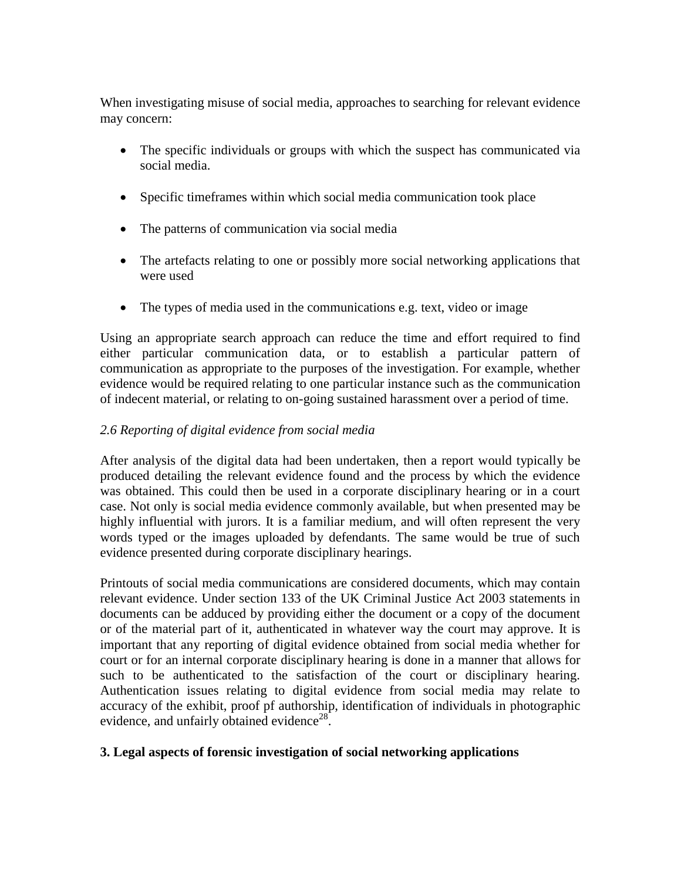When investigating misuse of social media, approaches to searching for relevant evidence may concern:

- The specific individuals or groups with which the suspect has communicated via social media.
- Specific timeframes within which social media communication took place
- The patterns of communication via social media
- The artefacts relating to one or possibly more social networking applications that were used
- The types of media used in the communications e.g. text, video or image

Using an appropriate search approach can reduce the time and effort required to find either particular communication data, or to establish a particular pattern of communication as appropriate to the purposes of the investigation. For example, whether evidence would be required relating to one particular instance such as the communication of indecent material, or relating to on-going sustained harassment over a period of time.

# *2.6 Reporting of digital evidence from social media*

After analysis of the digital data had been undertaken, then a report would typically be produced detailing the relevant evidence found and the process by which the evidence was obtained. This could then be used in a corporate disciplinary hearing or in a court case. Not only is social media evidence commonly available, but when presented may be highly influential with jurors. It is a familiar medium, and will often represent the very words typed or the images uploaded by defendants. The same would be true of such evidence presented during corporate disciplinary hearings.

Printouts of social media communications are considered documents, which may contain relevant evidence. Under section 133 of the UK Criminal Justice Act 2003 statements in documents can be adduced by providing either the document or a copy of the document or of the material part of it, authenticated in whatever way the court may approve. It is important that any reporting of digital evidence obtained from social media whether for court or for an internal corporate disciplinary hearing is done in a manner that allows for such to be authenticated to the satisfaction of the court or disciplinary hearing. Authentication issues relating to digital evidence from social media may relate to accuracy of the exhibit, proof pf authorship, identification of individuals in photographic evidence, and unfairly obtained evidence<sup>28</sup>.

# **3. Legal aspects of forensic investigation of social networking applications**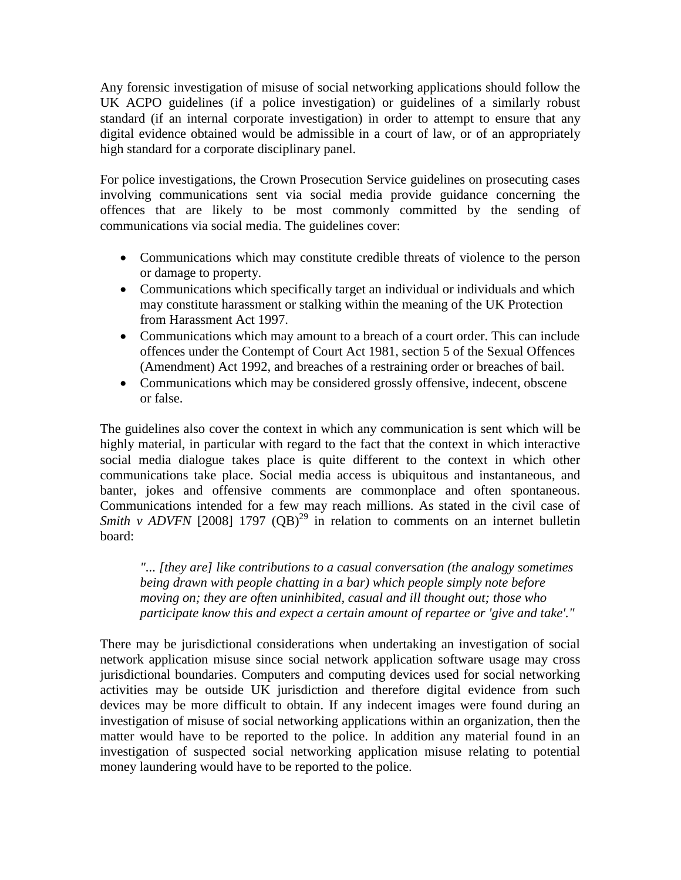Any forensic investigation of misuse of social networking applications should follow the UK ACPO guidelines (if a police investigation) or guidelines of a similarly robust standard (if an internal corporate investigation) in order to attempt to ensure that any digital evidence obtained would be admissible in a court of law, or of an appropriately high standard for a corporate disciplinary panel.

For police investigations, the Crown Prosecution Service guidelines on prosecuting cases involving communications sent via social media provide guidance concerning the offences that are likely to be most commonly committed by the sending of communications via social media. The guidelines cover:

- Communications which may constitute credible threats of violence to the person or damage to property.
- Communications which specifically target an individual or individuals and which may constitute harassment or stalking within the meaning of the UK Protection from Harassment Act 1997.
- Communications which may amount to a breach of a court order. This can include offences under the Contempt of Court Act 1981, section 5 of the Sexual Offences (Amendment) Act 1992, and breaches of a restraining order or breaches of bail.
- Communications which may be considered grossly offensive, indecent, obscene or false.

The guidelines also cover the context in which any communication is sent which will be highly material, in particular with regard to the fact that the context in which interactive social media dialogue takes place is quite different to the context in which other communications take place. Social media access is ubiquitous and instantaneous, and banter, jokes and offensive comments are commonplace and often spontaneous. Communications intended for a few may reach millions. As stated in the civil case of *Smith v ADVFN* [2008] 1797  $(OB)^{29}$  in relation to comments on an internet bulletin board:

*"... [they are] like contributions to a casual conversation (the analogy sometimes being drawn with people chatting in a bar) which people simply note before moving on; they are often uninhibited, casual and ill thought out; those who participate know this and expect a certain amount of repartee or 'give and take'."*

There may be jurisdictional considerations when undertaking an investigation of social network application misuse since social network application software usage may cross jurisdictional boundaries. Computers and computing devices used for social networking activities may be outside UK jurisdiction and therefore digital evidence from such devices may be more difficult to obtain. If any indecent images were found during an investigation of misuse of social networking applications within an organization, then the matter would have to be reported to the police. In addition any material found in an investigation of suspected social networking application misuse relating to potential money laundering would have to be reported to the police.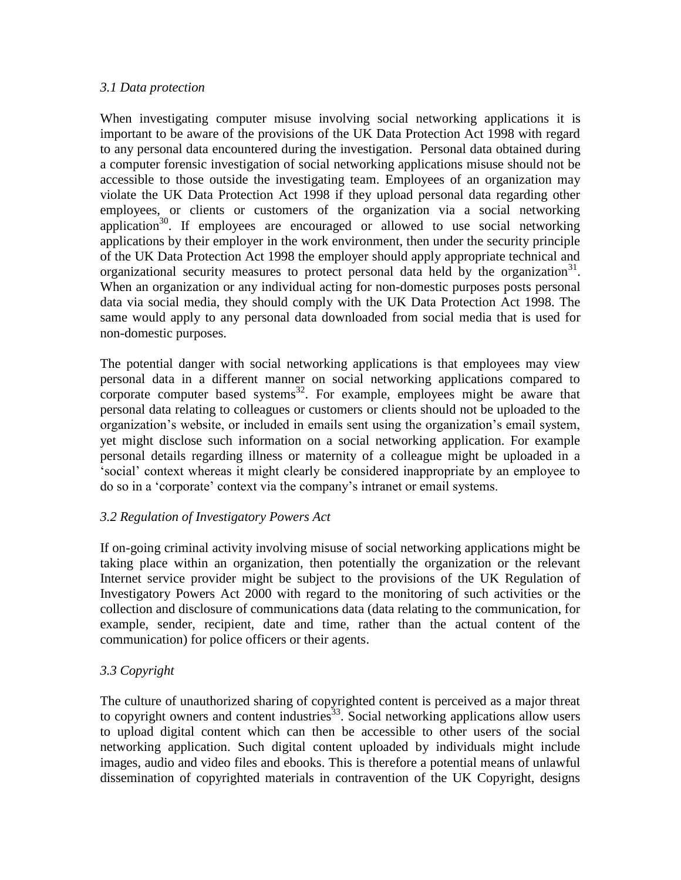#### *3.1 Data protection*

When investigating computer misuse involving social networking applications it is important to be aware of the provisions of the UK Data Protection Act 1998 with regard to any personal data encountered during the investigation. Personal data obtained during a computer forensic investigation of social networking applications misuse should not be accessible to those outside the investigating team. Employees of an organization may violate the UK Data Protection Act 1998 if they upload personal data regarding other employees, or clients or customers of the organization via a social networking application<sup>30</sup>. If employees are encouraged or allowed to use social networking applications by their employer in the work environment, then under the security principle of the UK Data Protection Act 1998 the employer should apply appropriate technical and organizational security measures to protect personal data held by the organization<sup>31</sup>. When an organization or any individual acting for non-domestic purposes posts personal data via social media, they should comply with the UK Data Protection Act 1998. The same would apply to any personal data downloaded from social media that is used for non-domestic purposes.

The potential danger with social networking applications is that employees may view personal data in a different manner on social networking applications compared to corporate computer based systems<sup>32</sup>. For example, employees might be aware that personal data relating to colleagues or customers or clients should not be uploaded to the organization's website, or included in emails sent using the organization's email system, yet might disclose such information on a social networking application. For example personal details regarding illness or maternity of a colleague might be uploaded in a 'social' context whereas it might clearly be considered inappropriate by an employee to do so in a 'corporate' context via the company's intranet or email systems.

# *3.2 Regulation of Investigatory Powers Act*

If on-going criminal activity involving misuse of social networking applications might be taking place within an organization, then potentially the organization or the relevant Internet service provider might be subject to the provisions of the UK Regulation of Investigatory Powers Act 2000 with regard to the monitoring of such activities or the collection and disclosure of communications data (data relating to the communication, for example, sender, recipient, date and time, rather than the actual content of the communication) for police officers or their agents.

# *3.3 Copyright*

The culture of unauthorized sharing of copyrighted content is perceived as a major threat to copyright owners and content industries<sup>33</sup>. Social networking applications allow users to upload digital content which can then be accessible to other users of the social networking application. Such digital content uploaded by individuals might include images, audio and video files and ebooks. This is therefore a potential means of unlawful dissemination of copyrighted materials in contravention of the UK Copyright, designs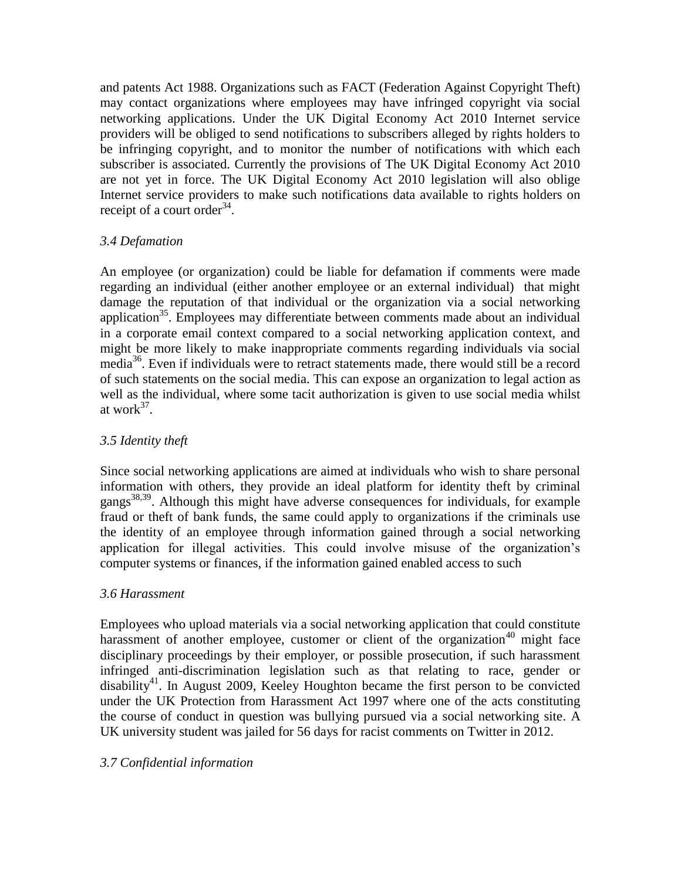and patents Act 1988. Organizations such as FACT (Federation Against Copyright Theft) may contact organizations where employees may have infringed copyright via social networking applications. Under the UK Digital Economy Act 2010 Internet service providers will be obliged to send notifications to subscribers alleged by rights holders to be infringing copyright, and to monitor the number of notifications with which each subscriber is associated. Currently the provisions of The UK Digital Economy Act 2010 are not yet in force. The UK Digital Economy Act 2010 legislation will also oblige Internet service providers to make such notifications data available to rights holders on receipt of a court order $34$ .

# *3.4 Defamation*

An employee (or organization) could be liable for defamation if comments were made regarding an individual (either another employee or an external individual) that might damage the reputation of that individual or the organization via a social networking application<sup>35</sup>. Employees may differentiate between comments made about an individual in a corporate email context compared to a social networking application context, and might be more likely to make inappropriate comments regarding individuals via social media<sup>36</sup>. Even if individuals were to retract statements made, there would still be a record of such statements on the social media. This can expose an organization to legal action as well as the individual, where some tacit authorization is given to use social media whilst at work $37$ .

#### *3.5 Identity theft*

Since social networking applications are aimed at individuals who wish to share personal information with others, they provide an ideal platform for identity theft by criminal gangs<sup>38,39</sup>. Although this might have adverse consequences for individuals, for example fraud or theft of bank funds, the same could apply to organizations if the criminals use the identity of an employee through information gained through a social networking application for illegal activities. This could involve misuse of the organization's computer systems or finances, if the information gained enabled access to such

#### *3.6 Harassment*

Employees who upload materials via a social networking application that could constitute harassment of another employee, customer or client of the organization<sup>40</sup> might face disciplinary proceedings by their employer, or possible prosecution, if such harassment infringed anti-discrimination legislation such as that relating to race, gender or disability<sup>41</sup>. In August 2009, Keeley Houghton became the first person to be convicted under the UK Protection from Harassment Act 1997 where one of the acts constituting the course of conduct in question was bullying pursued via a social networking site. A UK university student was jailed for 56 days for racist comments on Twitter in 2012.

#### *3.7 Confidential information*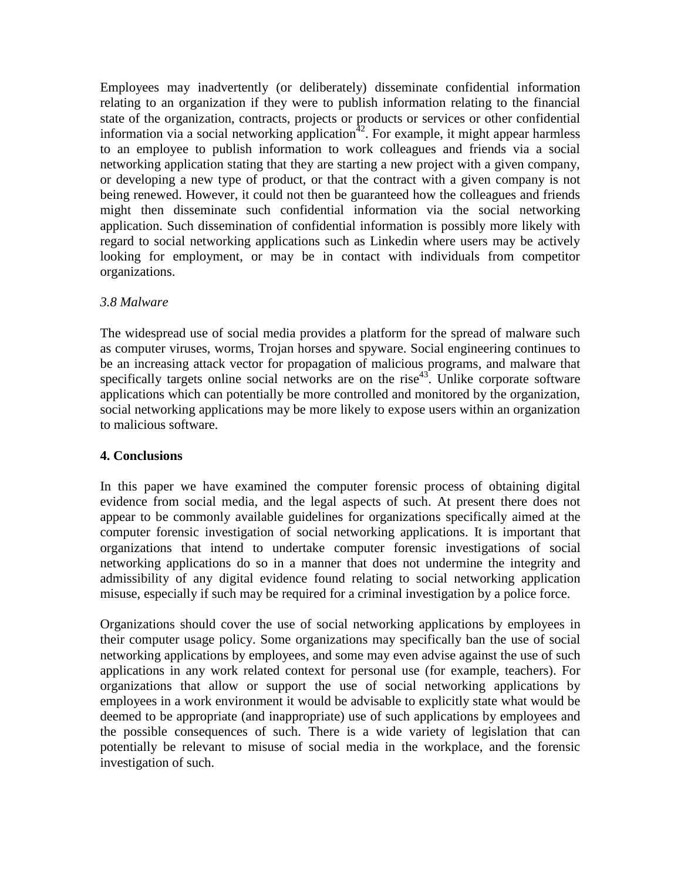Employees may inadvertently (or deliberately) disseminate confidential information relating to an organization if they were to publish information relating to the financial state of the organization, contracts, projects or products or services or other confidential information via a social networking application<sup> $42$ </sup>. For example, it might appear harmless to an employee to publish information to work colleagues and friends via a social networking application stating that they are starting a new project with a given company, or developing a new type of product, or that the contract with a given company is not being renewed. However, it could not then be guaranteed how the colleagues and friends might then disseminate such confidential information via the social networking application. Such dissemination of confidential information is possibly more likely with regard to social networking applications such as Linkedin where users may be actively looking for employment, or may be in contact with individuals from competitor organizations.

#### *3.8 Malware*

The widespread use of social media provides a platform for the spread of malware such as computer viruses, worms, Trojan horses and spyware. Social engineering continues to be an increasing attack vector for propagation of malicious programs, and malware that specifically targets online social networks are on the rise<sup>43</sup>. Unlike corporate software applications which can potentially be more controlled and monitored by the organization, social networking applications may be more likely to expose users within an organization to malicious software.

# **4. Conclusions**

In this paper we have examined the computer forensic process of obtaining digital evidence from social media, and the legal aspects of such. At present there does not appear to be commonly available guidelines for organizations specifically aimed at the computer forensic investigation of social networking applications. It is important that organizations that intend to undertake computer forensic investigations of social networking applications do so in a manner that does not undermine the integrity and admissibility of any digital evidence found relating to social networking application misuse, especially if such may be required for a criminal investigation by a police force.

Organizations should cover the use of social networking applications by employees in their computer usage policy. Some organizations may specifically ban the use of social networking applications by employees, and some may even advise against the use of such applications in any work related context for personal use (for example, teachers). For organizations that allow or support the use of social networking applications by employees in a work environment it would be advisable to explicitly state what would be deemed to be appropriate (and inappropriate) use of such applications by employees and the possible consequences of such. There is a wide variety of legislation that can potentially be relevant to misuse of social media in the workplace, and the forensic investigation of such.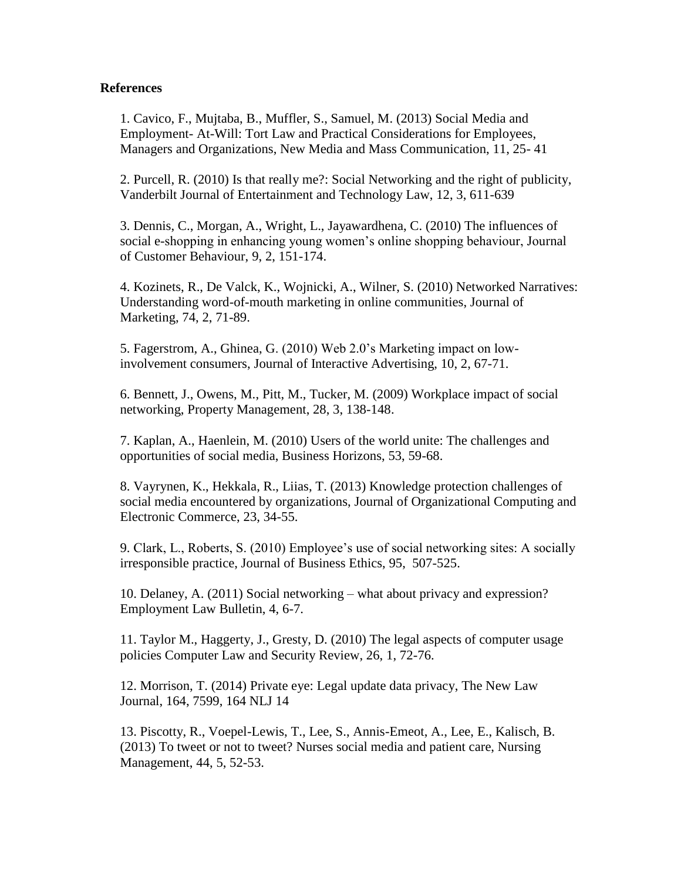#### **References**

1. Cavico, F., Mujtaba, B., Muffler, S., Samuel, M. (2013) Social Media and Employment- At-Will: Tort Law and Practical Considerations for Employees, Managers and Organizations, New Media and Mass Communication, 11, 25- 41

2. Purcell, R. (2010) Is that really me?: Social Networking and the right of publicity, Vanderbilt Journal of Entertainment and Technology Law, 12, 3, 611-639

3. Dennis, C., Morgan, A., Wright, L., Jayawardhena, C. (2010) The influences of social e-shopping in enhancing young women's online shopping behaviour, Journal of Customer Behaviour, 9, 2, 151-174.

4. Kozinets, R., De Valck, K., Wojnicki, A., Wilner, S. (2010) Networked Narratives: Understanding word-of-mouth marketing in online communities, Journal of Marketing, 74, 2, 71-89.

5. Fagerstrom, A., Ghinea, G. (2010) Web 2.0's Marketing impact on lowinvolvement consumers, Journal of Interactive Advertising, 10, 2, 67-71.

6. Bennett, J., Owens, M., Pitt, M., Tucker, M. (2009) Workplace impact of social networking, Property Management, 28, 3, 138-148.

7. Kaplan, A., Haenlein, M. (2010) Users of the world unite: The challenges and opportunities of social media, Business Horizons, 53, 59-68.

8. Vayrynen, K., Hekkala, R., Liias, T. (2013) Knowledge protection challenges of social media encountered by organizations, Journal of Organizational Computing and Electronic Commerce, 23, 34-55.

9. Clark, L., Roberts, S. (2010) Employee's use of social networking sites: A socially irresponsible practice, Journal of Business Ethics, 95, 507-525.

10. Delaney, A. (2011) Social networking – what about privacy and expression? Employment Law Bulletin, 4, 6-7.

11. Taylor M., Haggerty, J., Gresty, D. (2010) The legal aspects of computer usage policies Computer Law and Security Review, 26, 1, 72-76.

12. Morrison, T. (2014) Private eye: Legal update data privacy, The New Law Journal, 164, 7599, 164 NLJ 14

13. Piscotty, R., Voepel-Lewis, T., Lee, S., Annis-Emeot, A., Lee, E., Kalisch, B. (2013) To tweet or not to tweet? Nurses social media and patient care, Nursing Management, 44, 5, 52-53.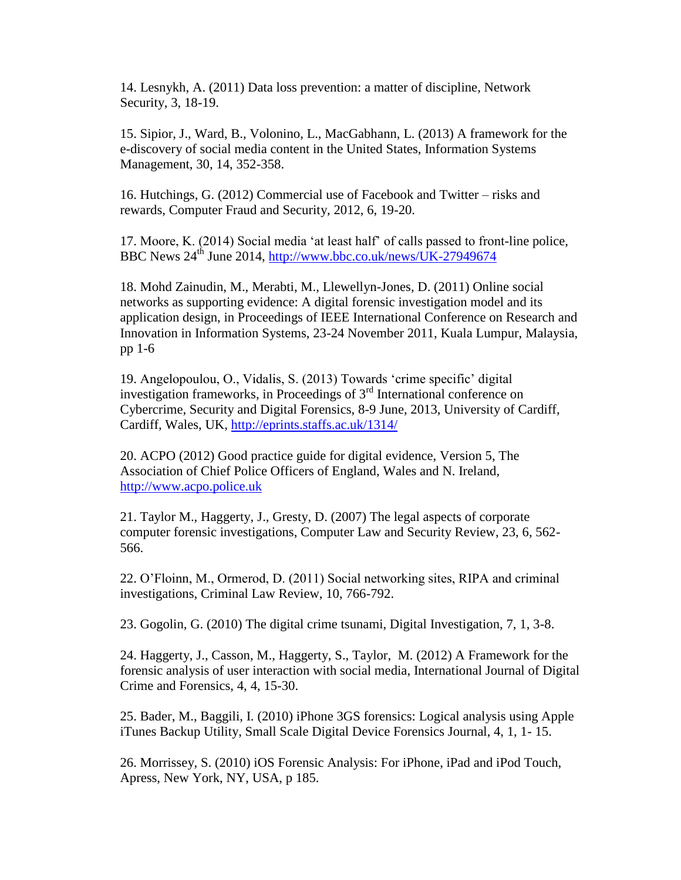14. Lesnykh, A. (2011) Data loss prevention: a matter of discipline, Network Security, 3, 18-19.

15. Sipior, J., Ward, B., Volonino, L., MacGabhann, L. (2013) A framework for the e-discovery of social media content in the United States, Information Systems Management, 30, 14, 352-358.

16. Hutchings, G. (2012) Commercial use of Facebook and Twitter – risks and rewards, Computer Fraud and Security, 2012, 6, 19-20.

17. Moore, K. (2014) Social media 'at least half' of calls passed to front-line police, BBC News  $24^{th}$  June 2014,<http://www.bbc.co.uk/news/UK-27949674>

18. Mohd Zainudin, M., Merabti, M., Llewellyn-Jones, D. (2011) Online social networks as supporting evidence: A digital forensic investigation model and its application design, in Proceedings of IEEE International Conference on Research and Innovation in Information Systems, 23-24 November 2011, Kuala Lumpur, Malaysia, pp 1-6

19. Angelopoulou, O., Vidalis, S. (2013) Towards 'crime specific' digital investigation frameworks, in Proceedings of 3<sup>rd</sup> International conference on Cybercrime, Security and Digital Forensics, 8-9 June, 2013, University of Cardiff, Cardiff, Wales, UK,<http://eprints.staffs.ac.uk/1314/>

20. ACPO (2012) Good practice guide for digital evidence, Version 5, The Association of Chief Police Officers of England, Wales and N. Ireland, [http://www.acpo.police.uk](http://www.acpo.police.uk/)

21. Taylor M., Haggerty, J., Gresty, D. (2007) The legal aspects of corporate computer forensic investigations, Computer Law and Security Review, 23, 6, 562- 566.

22. O'Floinn, M., Ormerod, D. (2011) Social networking sites, RIPA and criminal investigations, Criminal Law Review, 10, 766-792.

23. Gogolin, G. (2010) The digital crime tsunami, Digital Investigation, 7, 1, 3-8.

24. Haggerty, J., Casson, M., Haggerty, S., Taylor, M. (2012) A Framework for the forensic analysis of user interaction with social media, International Journal of Digital Crime and Forensics, 4, 4, 15-30.

25. Bader, M., Baggili, I. (2010) iPhone 3GS forensics: Logical analysis using Apple iTunes Backup Utility, Small Scale Digital Device Forensics Journal, 4, 1, 1- 15.

26. Morrissey, S. (2010) iOS Forensic Analysis: For iPhone, iPad and iPod Touch, Apress, New York, NY, USA, p 185.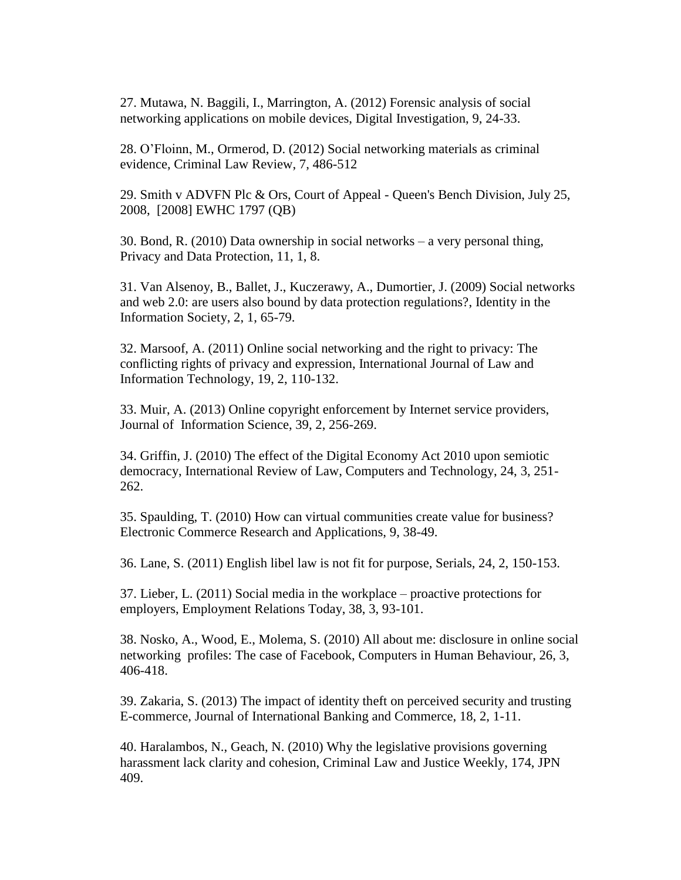27. Mutawa, N. Baggili, I., Marrington, A. (2012) Forensic analysis of social networking applications on mobile devices, Digital Investigation, 9, 24-33.

28. O'Floinn, M., Ormerod, D. (2012) Social networking materials as criminal evidence, Criminal Law Review, 7, 486-512

29. Smith v ADVFN Plc & Ors, Court of Appeal - Queen's Bench Division, July 25, 2008, [2008] EWHC 1797 (QB)

30. Bond, R. (2010) Data ownership in social networks – a very personal thing, Privacy and Data Protection, 11, 1, 8.

31. Van Alsenoy, B., Ballet, J., Kuczerawy, A., Dumortier, J. (2009) Social networks and web 2.0: are users also bound by data protection regulations?, Identity in the Information Society, 2, 1, 65-79.

32. Marsoof, A. (2011) Online social networking and the right to privacy: The conflicting rights of privacy and expression, International Journal of Law and Information Technology, 19, 2, 110-132.

33. Muir, A. (2013) Online copyright enforcement by Internet service providers, Journal of Information Science, 39, 2, 256-269.

34. Griffin, J. (2010) The effect of the Digital Economy Act 2010 upon semiotic democracy, International Review of Law, Computers and Technology, 24, 3, 251- 262.

35. Spaulding, T. (2010) How can virtual communities create value for business? Electronic Commerce Research and Applications, 9, 38-49.

36. Lane, S. (2011) English libel law is not fit for purpose, Serials, 24, 2, 150-153.

37. Lieber, L. (2011) Social media in the workplace – proactive protections for employers, Employment Relations Today, 38, 3, 93-101.

38. Nosko, A., Wood, E., Molema, S. (2010) All about me: disclosure in online social networking profiles: The case of Facebook, Computers in Human Behaviour, 26, 3, 406-418.

39. Zakaria, S. (2013) The impact of identity theft on perceived security and trusting E-commerce, Journal of International Banking and Commerce, 18, 2, 1-11.

40. Haralambos, N., Geach, N. (2010) Why the legislative provisions governing harassment lack clarity and cohesion, Criminal Law and Justice Weekly, 174, JPN 409.